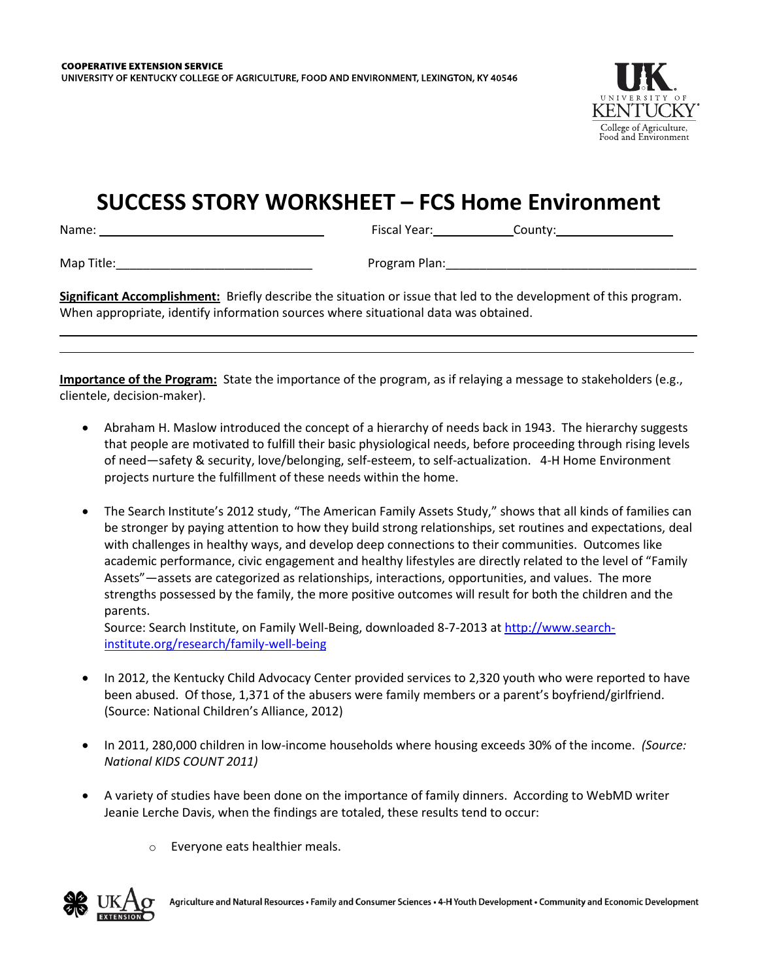

## **SUCCESS STORY WORKSHEET – FCS Home Environment**

Name: Fiscal Year: County:

Map Title:\_\_\_\_\_\_\_\_\_\_\_\_\_\_\_\_\_\_\_\_\_\_\_\_\_\_\_\_\_ Program Plan:\_\_\_\_\_\_\_\_\_\_\_\_\_\_\_\_\_\_\_\_\_\_\_\_\_\_\_\_\_\_\_\_\_\_\_\_\_

**Significant Accomplishment:** Briefly describe the situation or issue that led to the development of this program. When appropriate, identify information sources where situational data was obtained.

**Importance of the Program:** State the importance of the program, as if relaying a message to stakeholders (e.g., clientele, decision-maker).

- Abraham H. Maslow introduced the concept of a hierarchy of needs back in 1943. The hierarchy suggests that people are motivated to fulfill their basic physiological needs, before proceeding through rising levels of need—safety & security, love/belonging, self-esteem, to self-actualization. 4-H Home Environment projects nurture the fulfillment of these needs within the home.
- The Search Institute's 2012 study, "The American Family Assets Study," shows that all kinds of families can be stronger by paying attention to how they build strong relationships, set routines and expectations, deal with challenges in healthy ways, and develop deep connections to their communities. Outcomes like academic performance, civic engagement and healthy lifestyles are directly related to the level of "Family Assets"—assets are categorized as relationships, interactions, opportunities, and values. The more strengths possessed by the family, the more positive outcomes will result for both the children and the parents.

Source: Search Institute, on Family Well-Being, downloaded 8-7-2013 a[t http://www.search](http://www.search-institute.org/research/family-well-being)[institute.org/research/family-well-being](http://www.search-institute.org/research/family-well-being)

- In 2012, the Kentucky Child Advocacy Center provided services to 2,320 youth who were reported to have been abused. Of those, 1,371 of the abusers were family members or a parent's boyfriend/girlfriend. (Source: National Children's Alliance, 2012)
- In 2011, 280,000 children in low-income households where housing exceeds 30% of the income. *(Source: National KIDS COUNT 2011)*
- A variety of studies have been done on the importance of family dinners. According to WebMD writer Jeanie Lerche Davis, when the findings are totaled, these results tend to occur:
	- o Everyone eats healthier meals.

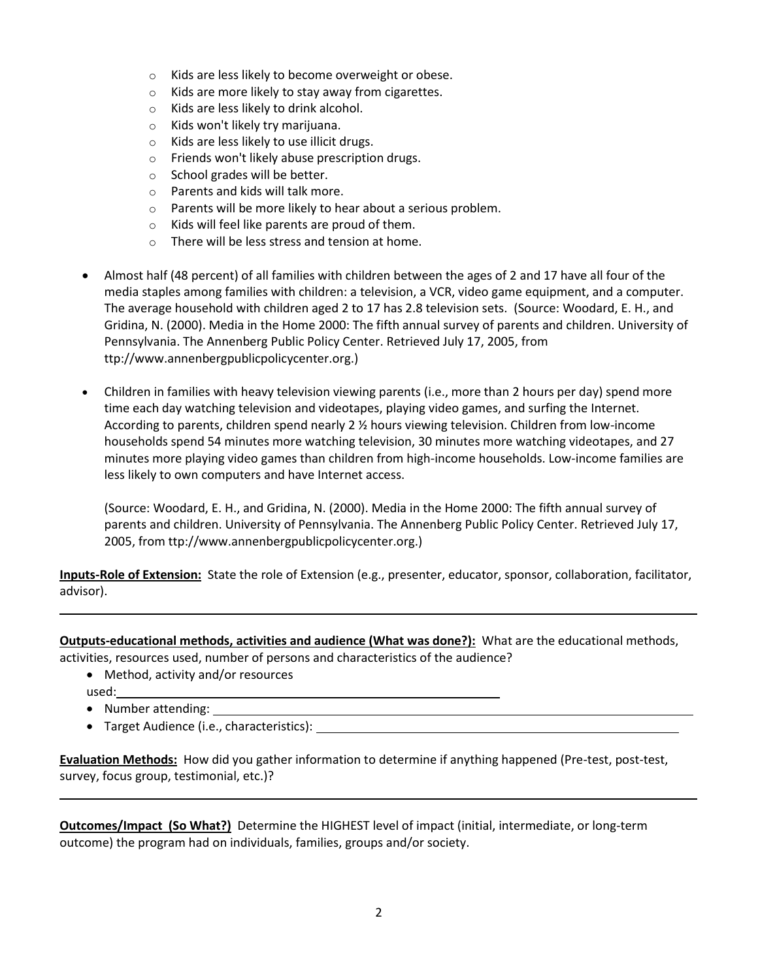- o Kids are less likely to become overweight or obese.
- o Kids are more likely to stay away from cigarettes.
- o Kids are less likely to drink alcohol.
- o Kids won't likely try marijuana.
- o Kids are less likely to use illicit drugs.
- o Friends won't likely abuse prescription drugs.
- o School grades will be better.
- o Parents and kids will talk more.
- o Parents will be more likely to hear about a serious problem.
- o Kids will feel like parents are proud of them.
- o There will be less stress and tension at home.
- Almost half (48 percent) of all families with children between the ages of 2 and 17 have all four of the media staples among families with children: a television, a VCR, video game equipment, and a computer. The average household with children aged 2 to 17 has 2.8 television sets. (Source: Woodard, E. H., and Gridina, N. (2000). Media in the Home 2000: The fifth annual survey of parents and children. University of Pennsylvania. The Annenberg Public Policy Center. Retrieved July 17, 2005, from ttp://www.annenbergpublicpolicycenter.org.)
- Children in families with heavy television viewing parents (i.e., more than 2 hours per day) spend more time each day watching television and videotapes, playing video games, and surfing the Internet. According to parents, children spend nearly 2 ½ hours viewing television. Children from low-income households spend 54 minutes more watching television, 30 minutes more watching videotapes, and 27 minutes more playing video games than children from high-income households. Low-income families are less likely to own computers and have Internet access.

(Source: Woodard, E. H., and Gridina, N. (2000). Media in the Home 2000: The fifth annual survey of parents and children. University of Pennsylvania. The Annenberg Public Policy Center. Retrieved July 17, 2005, from ttp://www.annenbergpublicpolicycenter.org.)

**Inputs-Role of Extension:** State the role of Extension (e.g., presenter, educator, sponsor, collaboration, facilitator, advisor).

**Outputs-educational methods, activities and audience (What was done?):** What are the educational methods, activities, resources used, number of persons and characteristics of the audience?

- Method, activity and/or resources used: \_\_\_
- Number attending:

Target Audience (i.e., characteristics):

**Evaluation Methods:** How did you gather information to determine if anything happened (Pre-test, post-test, survey, focus group, testimonial, etc.)?

**Outcomes/Impact (So What?)** Determine the HIGHEST level of impact (initial, intermediate, or long-term outcome) the program had on individuals, families, groups and/or society.